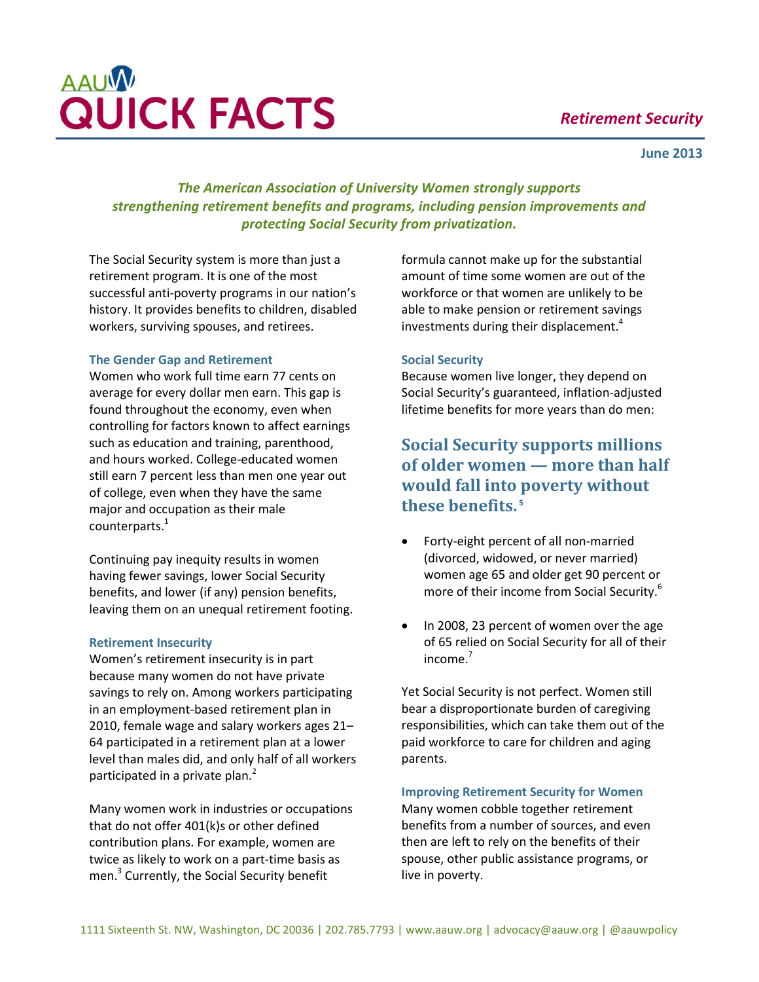## *Retirement Security*

#### **June 2013**

# **AAUW QUICK FACTS**

*The American Association of University Women strongly supports strengthening retirement benefits and programs, including pension improvements and protecting Social Security from privatization.*

The Social Security system is more than just a retirement program. It is one of the most successful anti-poverty programs in our nation's history. It provides benefits to children, disabled workers, surviving spouses, and retirees.

### **The Gender Gap and Retirement**

Women who work full time earn 77 cents on average for every dollar men earn. This gap is found throughout the economy, even when controlling for factors known to affect earnings such as education and training, parenthood, and hours worked. College-educated women still earn 7 percent less than men one year out of college, even when they have the same major and occupation as their male counterparts. $^{1}$ 

Continuing pay inequity results in women having fewer savings, lower Social Security benefits, and lower (if any) pension benefits, leaving them on an unequal retirement footing.

#### **Retirement Insecurity**

Women's retirement insecurity is in part because many women do not have private savings to rely on. Among workers participating in an employment-based retirement plan in 2010, female wage and salary workers ages 21– 64 participated in a retirement plan at a lower level than males did, and only half of all workers participated in a private plan.<sup>2</sup>

Many women work in industries or occupations that do not offer 401(k)s or other defined contribution plans. For example, women are twice as likely to work on a part-time basis as men.<sup>3</sup> Currently, the Social Security benefit

formula cannot make up for the substantial amount of time some women are out of the workforce or that women are unlikely to be able to make pension or retirement savings investments during their displacement.<sup>4</sup>

### **Social Security**

Because women live longer, they depend on Social Security's guaranteed, inflation-adjusted lifetime benefits for more years than do men:

## **Social Security supports millions of older women — more than half would fall into poverty without these benefits. <sup>5</sup>**

- Forty-eight percent of all non-married (divorced, widowed, or never married) women age 65 and older get 90 percent or more of their income from Social Security.<sup>6</sup>
- In 2008, 23 percent of women over the age of 65 relied on Social Security for all of their income.<sup>7</sup>

Yet Social Security is not perfect. Women still bear a disproportionate burden of caregiving responsibilities, which can take them out of the paid workforce to care for children and aging parents.

### **Improving Retirement Security for Women**

Many women cobble together retirement benefits from a number of sources, and even then are left to rely on the benefits of their spouse, other public assistance programs, or live in poverty.